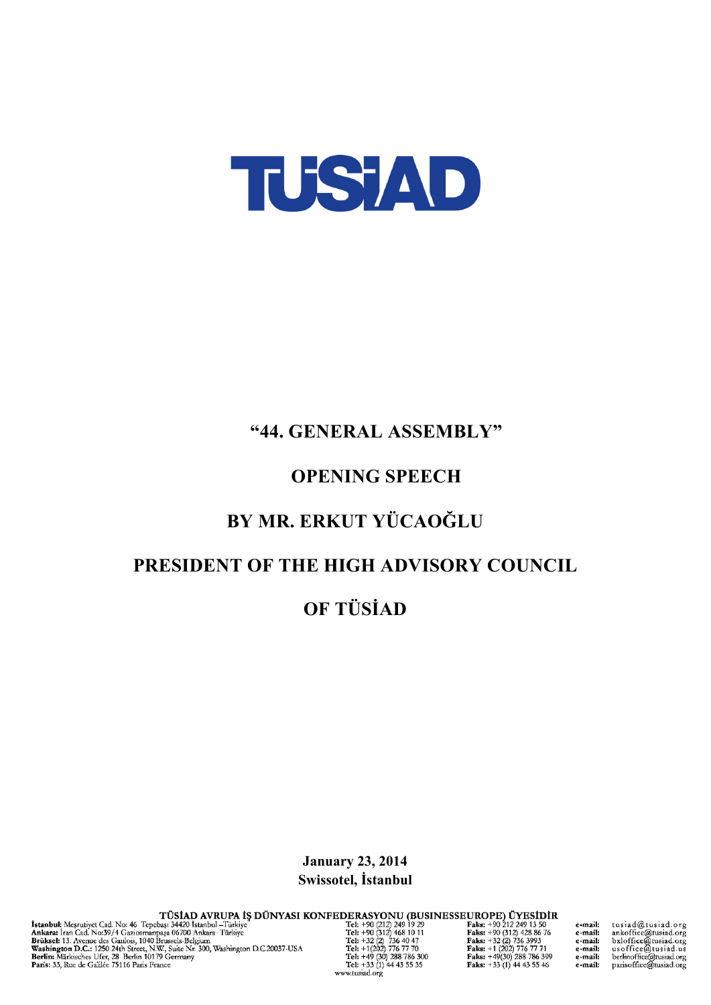

## "44. GENERAL ASSEMBLY"

## **OPENING SPEECH**

# BY MR. ERKUT YÜCAOĞLU

## PRESIDENT OF THE HIGH ADVISORY COUNCIL

**OF TÜSİAD** 

**January 23, 2014** Swissotel, İstanbul

 ${\begin{tabular}{l|c|c|c|c|c|c} \hline & $\textbf{It is a total} & $\textbf{It is a total} & $\textbf{It is a total} & $\textbf{It is a total} & $\textbf{It is a total} & $\textbf{It is a total} & $\textbf{It is a total} & $\textbf{It is a total} & $\textbf{It is a total} & $\textbf{It is a total} & $\textbf{It is a total} & $\textbf{It is a total} & $\textbf{It is a total} & $\textbf{It is a total} & $\textbf{It is a total} & $\textbf{It is a total} & $\textbf{It is a total} & $\textbf{It is a total} & $\textbf{It is a total} & $\textbf{It is$ 

www.tusiad.org

tusiad@tusiad.org tussaa@tussaa.org<br>ankoffice@tusiad.org<br>bxloffice@tusiad.org<br>usoffice@tusiad.org<br>berlinoffice@tusiad.org<br>parisoffice@tusiad.org

e-mail:

e-mail: e-mail: e-mail: e-mail: e-mail: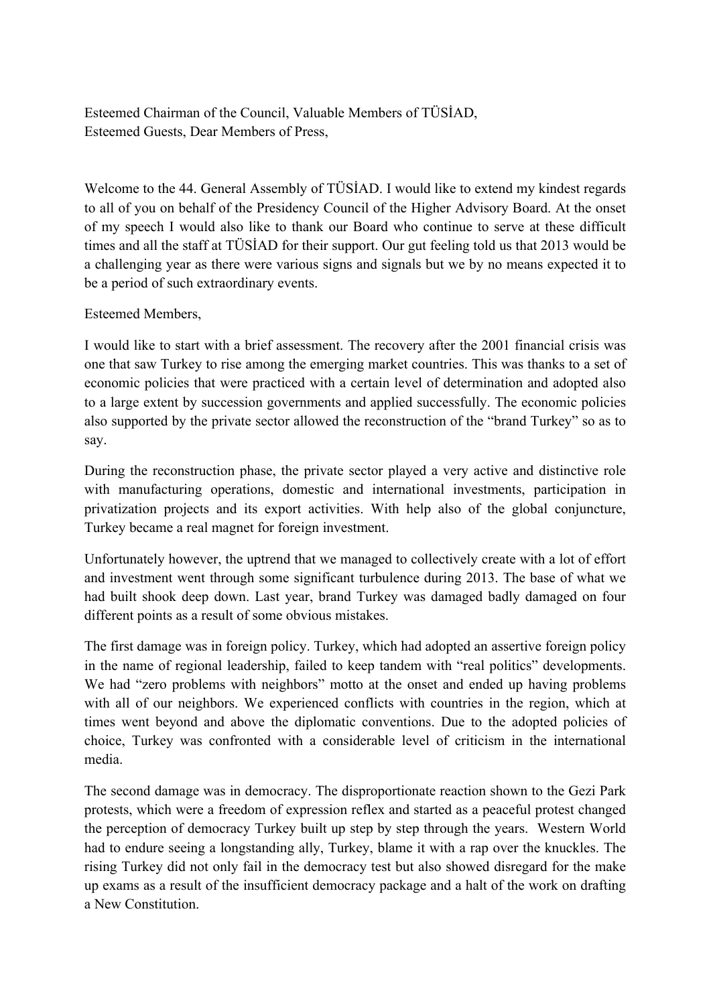Esteemed Chairman of the Council, Valuable Members of TÜSİAD, Esteemed Guests, Dear Members of Press,

Welcome to the 44. General Assembly of TÜSİAD. I would like to extend my kindest regards to all of you on behalf of the Presidency Council of the Higher Advisory Board. At the onset of my speech I would also like to thank our Board who continue to serve at these difficult times and all the staff at TÜSİAD for their support. Our gut feeling told us that 2013 would be a challenging year as there were various signs and signals but we by no means expected it to be a period of such extraordinary events.

#### Esteemed Members,

I would like to start with a brief assessment. The recovery after the 2001 financial crisis was one that saw Turkey to rise among the emerging market countries. This was thanks to a set of economic policies that were practiced with a certain level of determination and adopted also to a large extent by succession governments and applied successfully. The economic policies also supported by the private sector allowed the reconstruction of the "brand Turkey" so as to say.

During the reconstruction phase, the private sector played a very active and distinctive role with manufacturing operations, domestic and international investments, participation in privatization projects and its export activities. With help also of the global conjuncture, Turkey became a real magnet for foreign investment.

Unfortunately however, the uptrend that we managed to collectively create with a lot of effort and investment went through some significant turbulence during 2013. The base of what we had built shook deep down. Last year, brand Turkey was damaged badly damaged on four different points as a result of some obvious mistakes.

The first damage was in foreign policy. Turkey, which had adopted an assertive foreign policy in the name of regional leadership, failed to keep tandem with "real politics" developments. We had "zero problems with neighbors" motto at the onset and ended up having problems with all of our neighbors. We experienced conflicts with countries in the region, which at times went beyond and above the diplomatic conventions. Due to the adopted policies of choice, Turkey was confronted with a considerable level of criticism in the international media.

The second damage was in democracy. The disproportionate reaction shown to the Gezi Park protests, which were a freedom of expression reflex and started as a peaceful protest changed the perception of democracy Turkey built up step by step through the years. Western World had to endure seeing a longstanding ally, Turkey, blame it with a rap over the knuckles. The rising Turkey did not only fail in the democracy test but also showed disregard for the make up exams as a result of the insufficient democracy package and a halt of the work on drafting a New Constitution.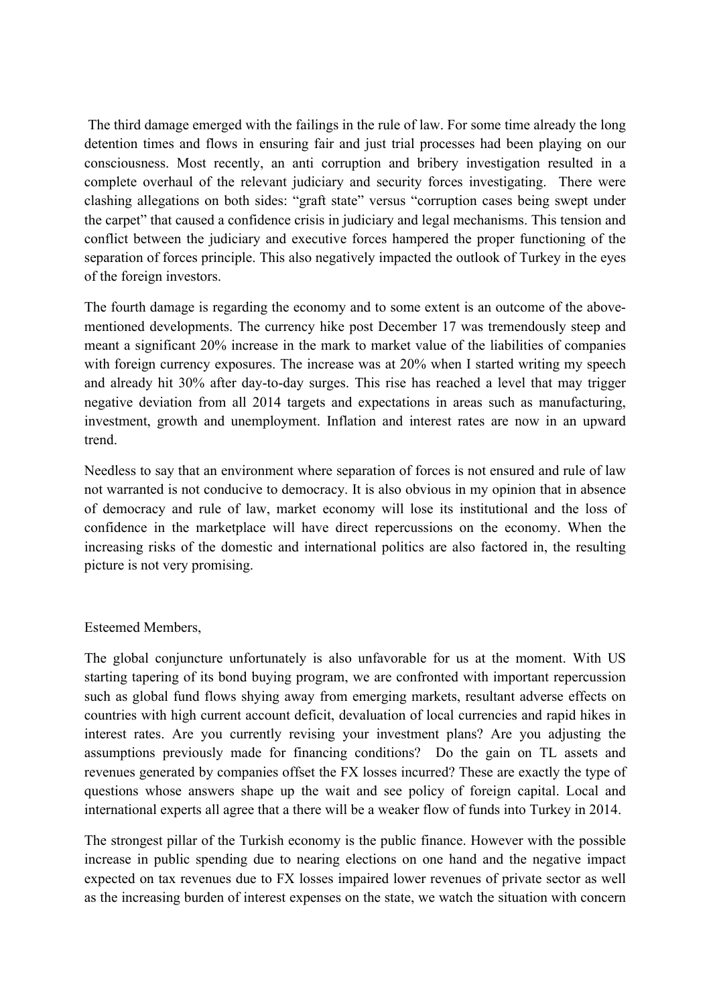The third damage emerged with the failings in the rule of law. For some time already the long detention times and flows in ensuring fair and just trial processes had been playing on our consciousness. Most recently, an anti corruption and bribery investigation resulted in a complete overhaul of the relevant judiciary and security forces investigating. There were clashing allegations on both sides: "graft state" versus "corruption cases being swept under the carpet" that caused a confidence crisis in judiciary and legal mechanisms. This tension and conflict between the judiciary and executive forces hampered the proper functioning of the separation of forces principle. This also negatively impacted the outlook of Turkey in the eyes of the foreign investors.

The fourth damage is regarding the economy and to some extent is an outcome of the abovementioned developments. The currency hike post December 17 was tremendously steep and meant a significant 20% increase in the mark to market value of the liabilities of companies with foreign currency exposures. The increase was at 20% when I started writing my speech and already hit 30% after day-to-day surges. This rise has reached a level that may trigger negative deviation from all 2014 targets and expectations in areas such as manufacturing, investment, growth and unemployment. Inflation and interest rates are now in an upward trend.

Needless to say that an environment where separation of forces is not ensured and rule of law not warranted is not conducive to democracy. It is also obvious in my opinion that in absence of democracy and rule of law, market economy will lose its institutional and the loss of confidence in the marketplace will have direct repercussions on the economy. When the increasing risks of the domestic and international politics are also factored in, the resulting picture is not very promising.

#### Esteemed Members,

The global conjuncture unfortunately is also unfavorable for us at the moment. With US starting tapering of its bond buying program, we are confronted with important repercussion such as global fund flows shying away from emerging markets, resultant adverse effects on countries with high current account deficit, devaluation of local currencies and rapid hikes in interest rates. Are you currently revising your investment plans? Are you adjusting the assumptions previously made for financing conditions? Do the gain on TL assets and revenues generated by companies offset the FX losses incurred? These are exactly the type of questions whose answers shape up the wait and see policy of foreign capital. Local and international experts all agree that a there will be a weaker flow of funds into Turkey in 2014.

The strongest pillar of the Turkish economy is the public finance. However with the possible increase in public spending due to nearing elections on one hand and the negative impact expected on tax revenues due to FX losses impaired lower revenues of private sector as well as the increasing burden of interest expenses on the state, we watch the situation with concern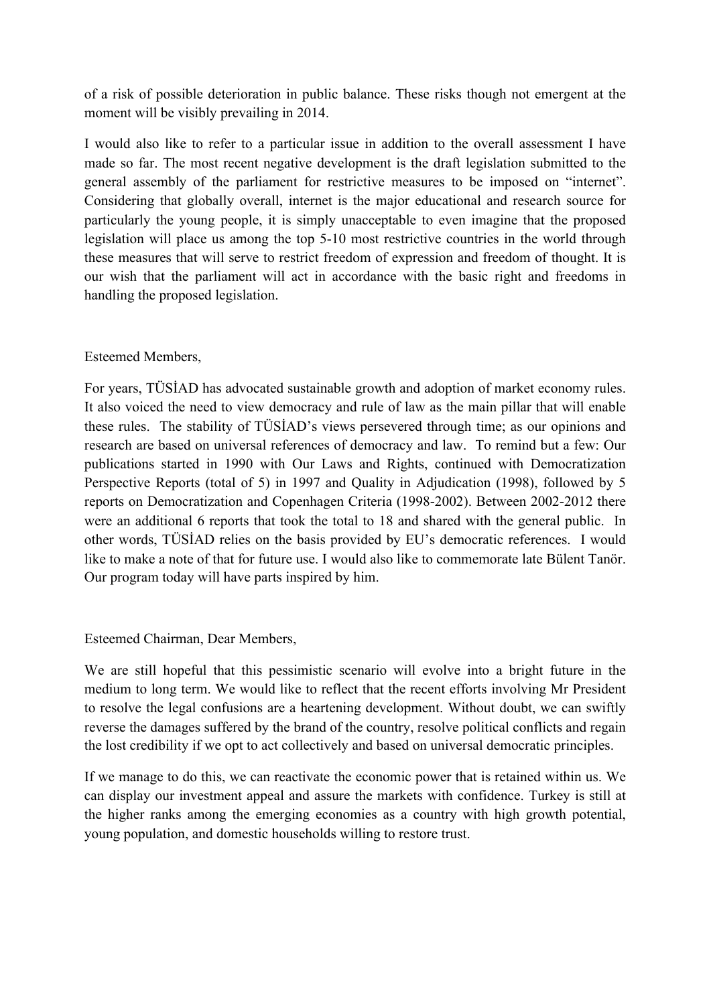of a risk of possible deterioration in public balance. These risks though not emergent at the moment will be visibly prevailing in 2014.

I would also like to refer to a particular issue in addition to the overall assessment I have made so far. The most recent negative development is the draft legislation submitted to the general assembly of the parliament for restrictive measures to be imposed on "internet". Considering that globally overall, internet is the major educational and research source for particularly the young people, it is simply unacceptable to even imagine that the proposed legislation will place us among the top 5-10 most restrictive countries in the world through these measures that will serve to restrict freedom of expression and freedom of thought. It is our wish that the parliament will act in accordance with the basic right and freedoms in handling the proposed legislation.

### Esteemed Members,

For years, TÜSİAD has advocated sustainable growth and adoption of market economy rules. It also voiced the need to view democracy and rule of law as the main pillar that will enable these rules. The stability of TÜSİAD's views persevered through time; as our opinions and research are based on universal references of democracy and law. To remind but a few: Our publications started in 1990 with Our Laws and Rights, continued with Democratization Perspective Reports (total of 5) in 1997 and Quality in Adjudication (1998), followed by 5 reports on Democratization and Copenhagen Criteria (1998-2002). Between 2002-2012 there were an additional 6 reports that took the total to 18 and shared with the general public. In other words, TÜSİAD relies on the basis provided by EU's democratic references. I would like to make a note of that for future use. I would also like to commemorate late Bülent Tanör. Our program today will have parts inspired by him.

#### Esteemed Chairman, Dear Members,

We are still hopeful that this pessimistic scenario will evolve into a bright future in the medium to long term. We would like to reflect that the recent efforts involving Mr President to resolve the legal confusions are a heartening development. Without doubt, we can swiftly reverse the damages suffered by the brand of the country, resolve political conflicts and regain the lost credibility if we opt to act collectively and based on universal democratic principles.

If we manage to do this, we can reactivate the economic power that is retained within us. We can display our investment appeal and assure the markets with confidence. Turkey is still at the higher ranks among the emerging economies as a country with high growth potential, young population, and domestic households willing to restore trust.